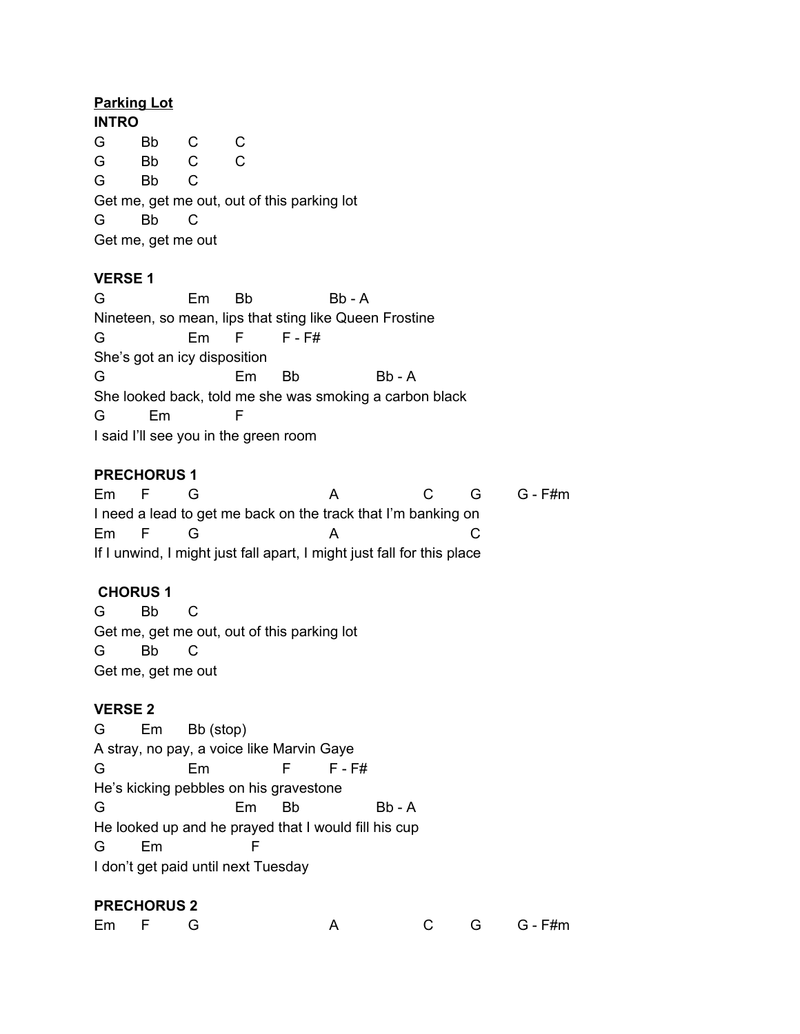#### **Parking Lot**

**INTRO** G Bb C C G Bb C C G Bb C Get me, get me out, out of this parking lot G Bb C Get me, get me out

#### **VERSE 1**

G Em Bb Bb - A Nineteen, so mean, lips that sting like Queen Frostine G Em F F - F# She's got an icy disposition G Em Bb Bb - A She looked back, told me she was smoking a carbon black G Em F I said I'll see you in the green room

### **PRECHORUS 1**

Em F G A C G G - F#m I need a lead to get me back on the track that I'm banking on Em F G A C If I unwind, I might just fall apart, I might just fall for this place

## **CHORUS 1**

G Bb C Get me, get me out, out of this parking lot G Bb C Get me, get me out

#### **VERSE 2**

G Em Bb (stop) A stray, no pay, a voice like Marvin Gaye G Em F F-F# He's kicking pebbles on his gravestone G Em Bb Bb - A He looked up and he prayed that I would fill his cup G Em F I don't get paid until next Tuesday

#### **PRECHORUS 2**

| Em F G |  |  | C G G F#m |
|--------|--|--|-----------|
|        |  |  |           |